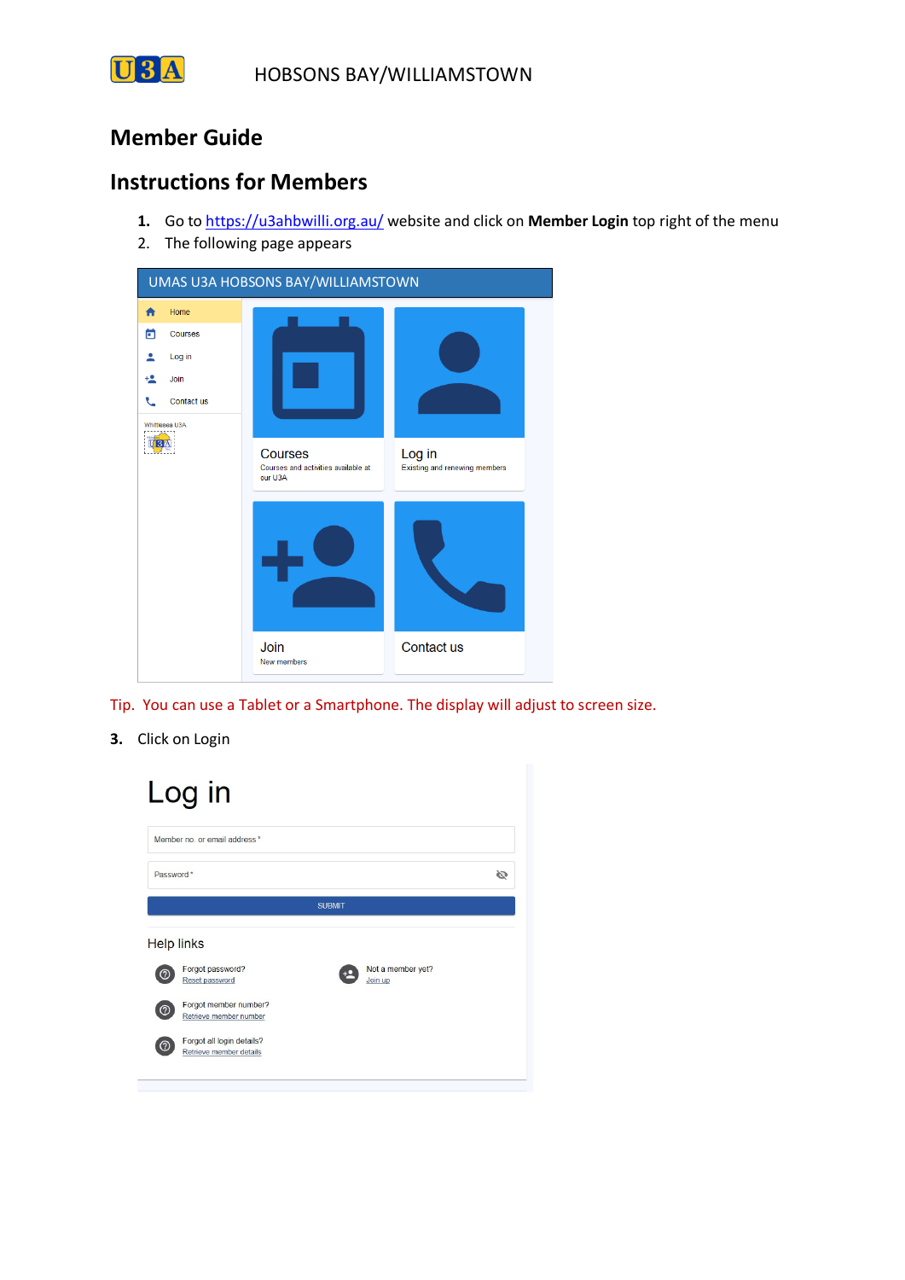

## **Member Guide**

### **Instructions for Members**

- **1.** Go to https://u3ahbwilli.org.au/ website and click on **Member Login** top right of the menu
- 2. The following page appears



Tip. You can use a Tablet or a Smartphone. The display will adjust to screen size.

**3.** Click on Login

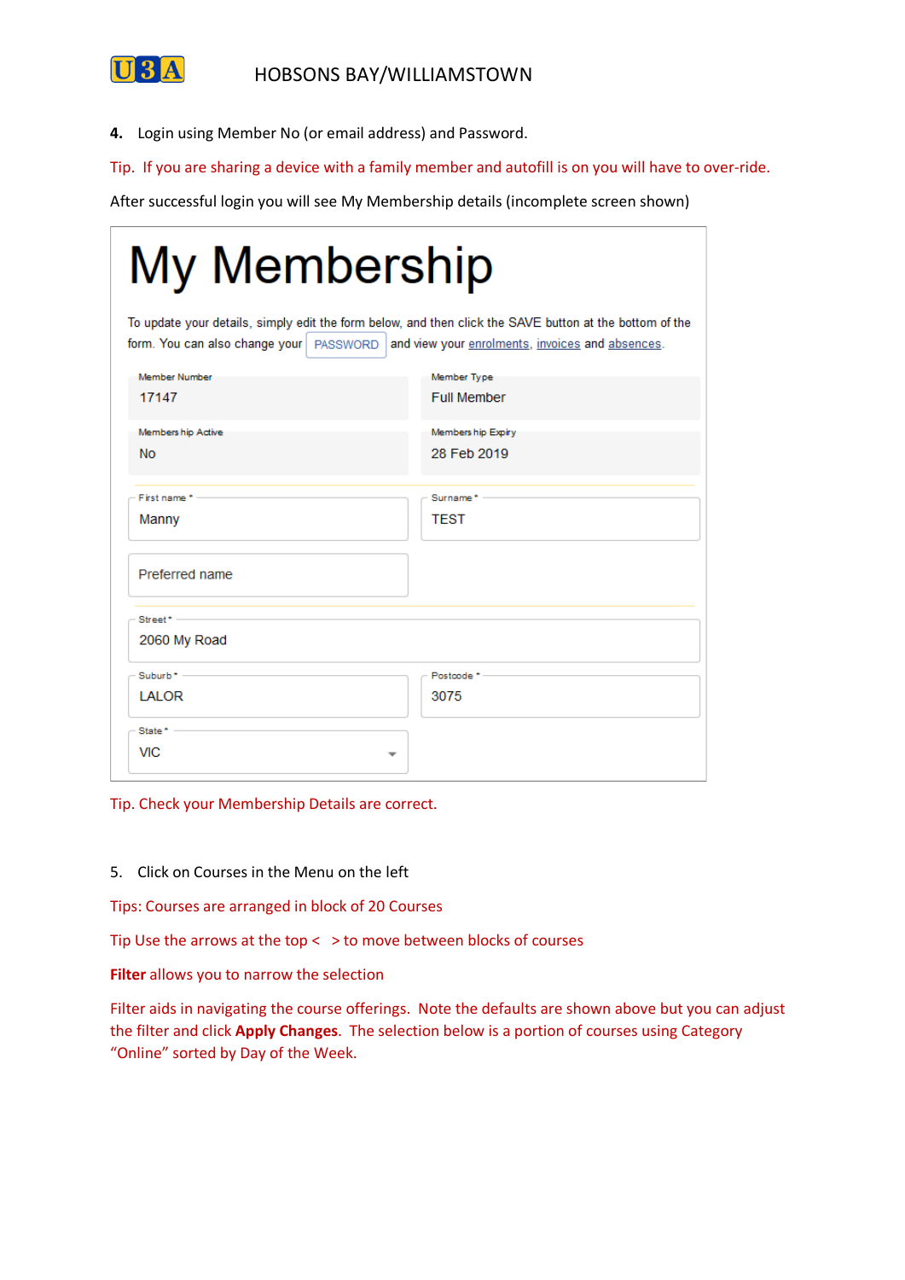

**4.** Login using Member No (or email address) and Password.

Tip. If you are sharing a device with a family member and autofill is on you will have to over-ride.

After successful login you will see My Membership details (incomplete screen shown)

| My Membership                                                                                                                                                                                           |                    |  |  |  |  |  |  |
|---------------------------------------------------------------------------------------------------------------------------------------------------------------------------------------------------------|--------------------|--|--|--|--|--|--|
| To update your details, simply edit the form below, and then click the SAVE button at the bottom of the<br>form. You can also change your   PASSWORD   and view your enrolments, invoices and absences. |                    |  |  |  |  |  |  |
| Member Number                                                                                                                                                                                           | Member Type        |  |  |  |  |  |  |
| 17147                                                                                                                                                                                                   | <b>Full Member</b> |  |  |  |  |  |  |
| Members hip Active                                                                                                                                                                                      | Members hip Expiry |  |  |  |  |  |  |
| <b>No</b>                                                                                                                                                                                               | 28 Feb 2019        |  |  |  |  |  |  |
| First name * -                                                                                                                                                                                          | Surname* -         |  |  |  |  |  |  |
| Manny                                                                                                                                                                                                   | <b>TEST</b>        |  |  |  |  |  |  |
| Preferred name                                                                                                                                                                                          |                    |  |  |  |  |  |  |
| $Street^*$ -                                                                                                                                                                                            |                    |  |  |  |  |  |  |
| 2060 My Road                                                                                                                                                                                            |                    |  |  |  |  |  |  |
| $Suburb^*$ –                                                                                                                                                                                            | Postcode *-        |  |  |  |  |  |  |
| LALOR                                                                                                                                                                                                   | 3075               |  |  |  |  |  |  |
| State $^*$ $-$                                                                                                                                                                                          |                    |  |  |  |  |  |  |
| <b>VIC</b>                                                                                                                                                                                              |                    |  |  |  |  |  |  |

Tip. Check your Membership Details are correct.

5. Click on Courses in the Menu on the left

Tips: Courses are arranged in block of 20 Courses

Tip Use the arrows at the top  $\lt$   $>$  to move between blocks of courses

**Filter** allows you to narrow the selection

Filter aids in navigating the course offerings. Note the defaults are shown above but you can adjust the filter and click **Apply Changes**. The selection below is a portion of courses using Category "Online" sorted by Day of the Week.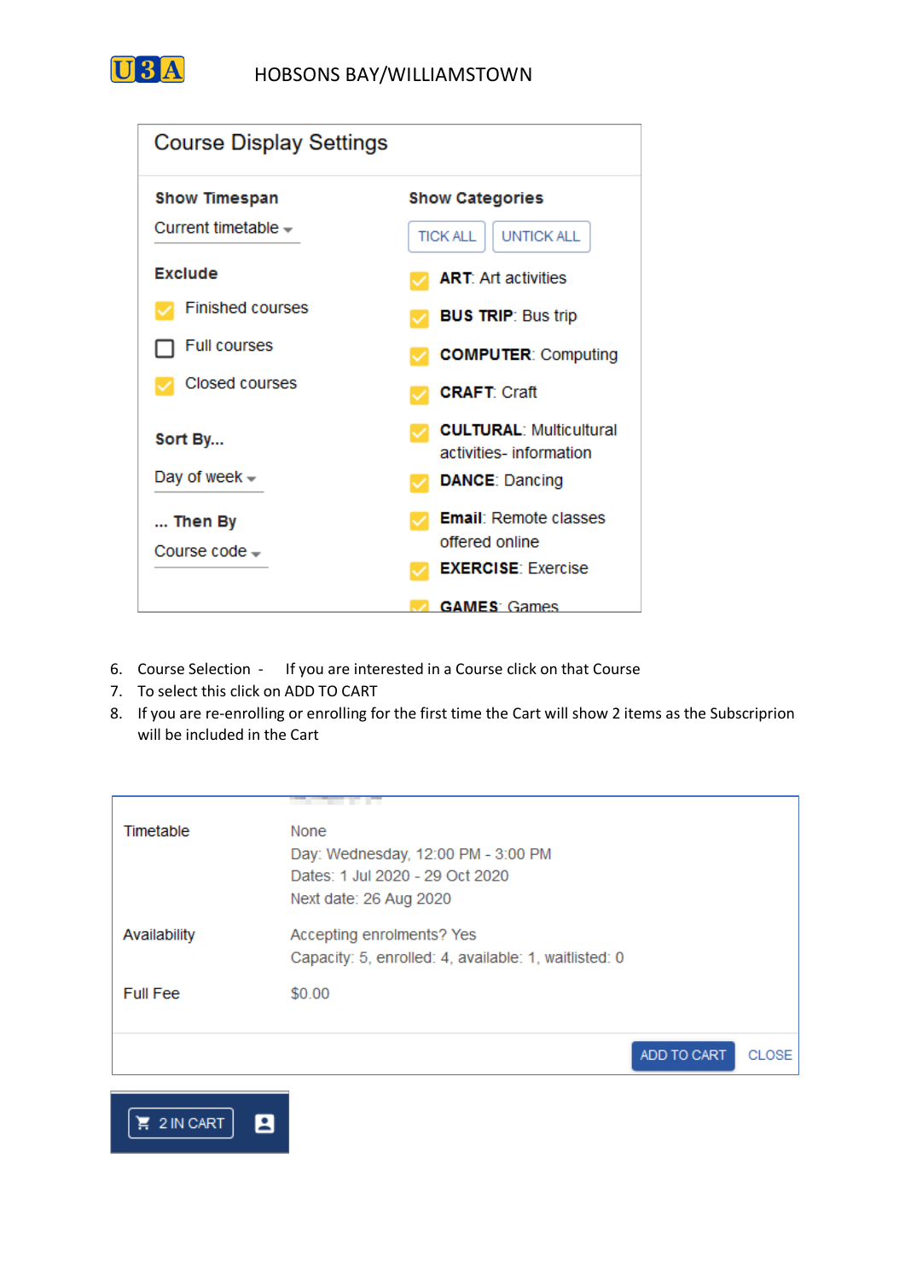

| <b>Course Display Settings</b>                                   |                                                                                       |  |  |  |  |
|------------------------------------------------------------------|---------------------------------------------------------------------------------------|--|--|--|--|
| <b>Show Timespan</b><br>Current timetable $\sim$                 | <b>Show Categories</b><br><b>UNTICK ALL</b><br><b>TICK ALL</b>                        |  |  |  |  |
| <b>Exclude</b><br><b>Finished courses</b><br><b>Full courses</b> | <b>ART: Art activities</b><br><b>BUS TRIP: Bus trip</b><br><b>COMPUTER: Computing</b> |  |  |  |  |
| Closed courses                                                   | <b>CRAFT: Craft</b>                                                                   |  |  |  |  |
| Sort By<br>Day of week $\sim$                                    | <b>CULTURAL: Multicultural</b><br>activities-information<br><b>DANCE: Dancing</b>     |  |  |  |  |
| Then By<br>Course code -                                         | <b>Email:</b> Remote classes<br>offered online<br><b>EXERCISE: Exercise</b>           |  |  |  |  |
|                                                                  | <b>GAMES</b> Games                                                                    |  |  |  |  |

- 6. Course Selection If you are interested in a Course click on that Course
- 7. To select this click on ADD TO CART
- 8. If you are re-enrolling or enrolling for the first time the Cart will show 2 items as the Subscriprion will be included in the Cart

| Timetable       | <b>None</b>                                           |             |              |
|-----------------|-------------------------------------------------------|-------------|--------------|
|                 | Day: Wednesday, 12:00 PM - 3:00 PM                    |             |              |
|                 | Dates: 1 Jul 2020 - 29 Oct 2020                       |             |              |
|                 | Next date: 26 Aug 2020                                |             |              |
| Availability    | Accepting enrolments? Yes                             |             |              |
|                 | Capacity: 5, enrolled: 4, available: 1, waitlisted: 0 |             |              |
| <b>Full Fee</b> | \$0.00                                                |             |              |
|                 |                                                       |             |              |
|                 |                                                       | ADD TO CART | <b>CLOSE</b> |
|                 |                                                       |             |              |

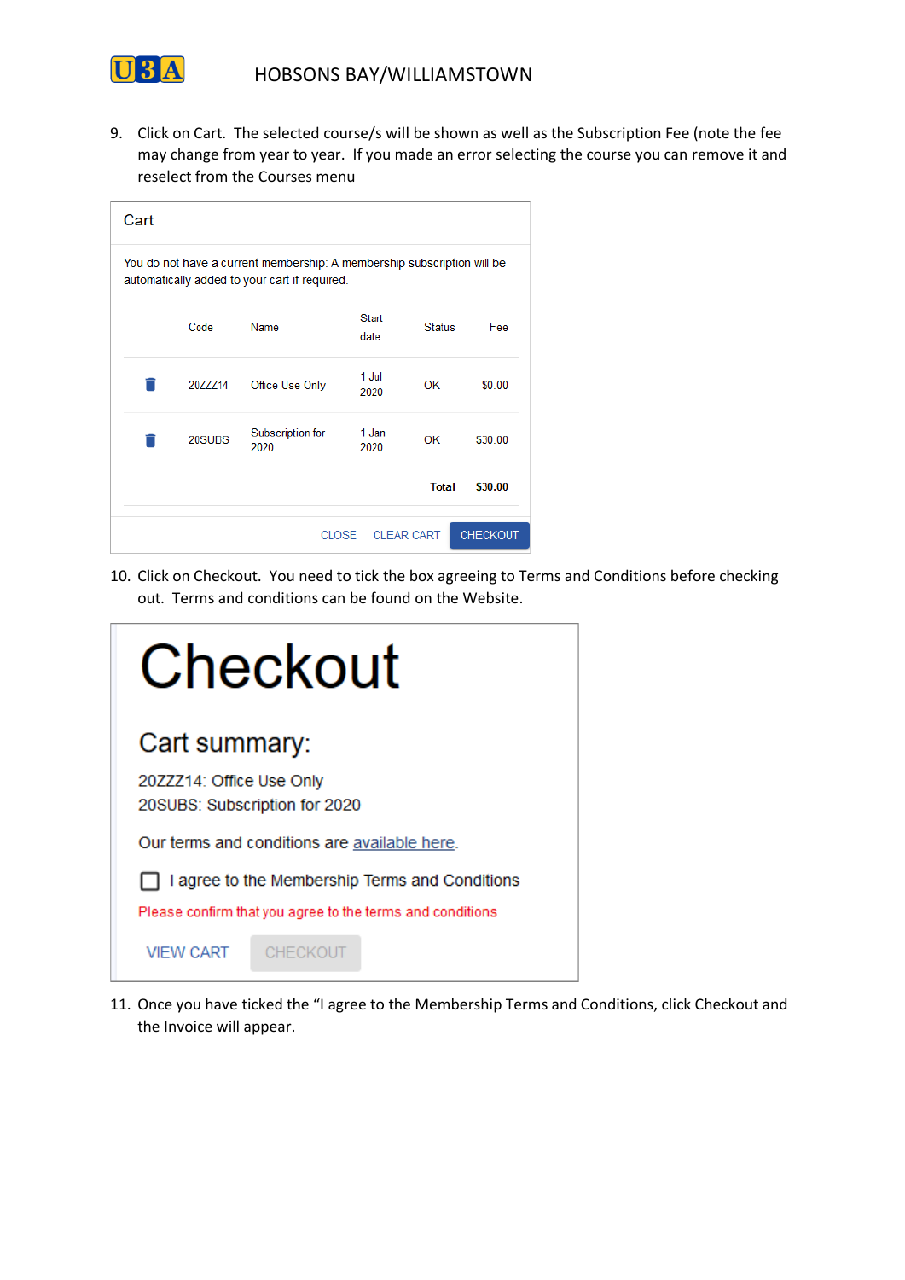

9. Click on Cart. The selected course/s will be shown as well as the Subscription Fee (note the fee may change from year to year. If you made an error selecting the course you can remove it and reselect from the Courses menu

| Cart                                                                                                                     |         |                          |               |               |         |  |  |  |
|--------------------------------------------------------------------------------------------------------------------------|---------|--------------------------|---------------|---------------|---------|--|--|--|
| You do not have a current membership: A membership subscription will be<br>automatically added to your cart if required. |         |                          |               |               |         |  |  |  |
|                                                                                                                          | Code    | Name                     | Start<br>date | <b>Status</b> | Fee     |  |  |  |
|                                                                                                                          | 20ZZZ14 | Office Use Only          | 1 Jul<br>2020 | OK            | \$0.00  |  |  |  |
|                                                                                                                          | 20SUBS  | Subscription for<br>2020 | 1 Jan<br>2020 | OK            | \$30.00 |  |  |  |
|                                                                                                                          |         |                          |               | <b>Total</b>  | \$30.00 |  |  |  |
| <b>CHECKOUT</b><br><b>CLEAR CART</b><br><b>CLOSE</b>                                                                     |         |                          |               |               |         |  |  |  |

10. Click on Checkout. You need to tick the box agreeing to Terms and Conditions before checking out. Terms and conditions can be found on the Website.



11. Once you have ticked the "I agree to the Membership Terms and Conditions, click Checkout and the Invoice will appear.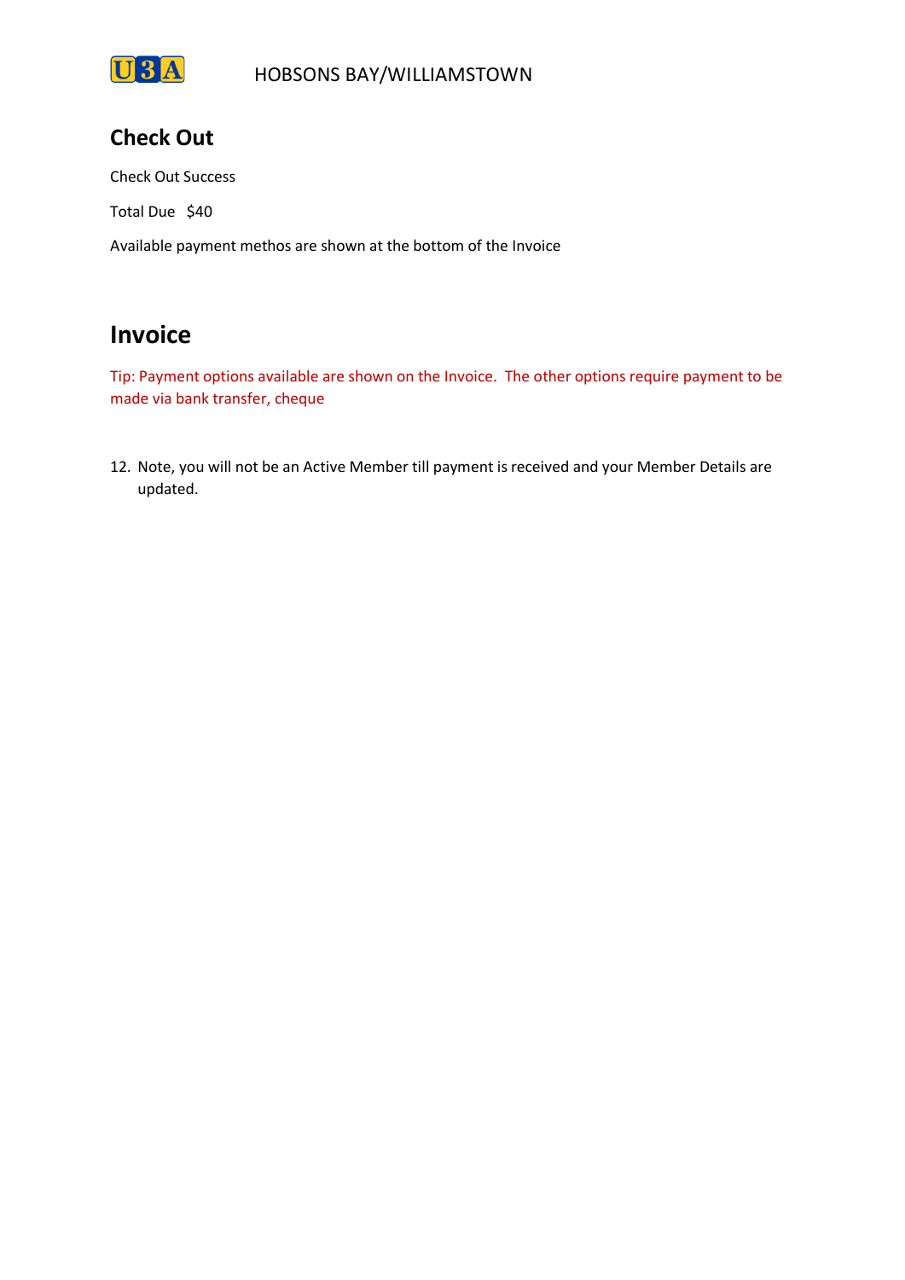

# **Check Out**

Check Out Success

Total Due \$40

Available payment methos are shown at the bottom of the Invoice

# **Invoice**

Tip: Payment options available are shown on the Invoice. The other options require payment to be made via bank transfer, cheque

12. Note, you will not be an Active Member till payment is received and your Member Details are updated.